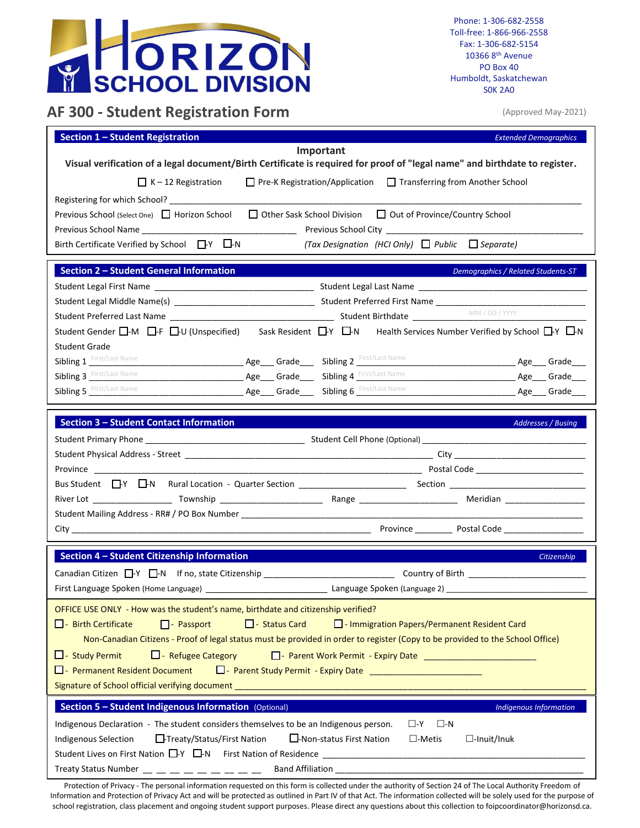

Phone: 1-306-682-2558 Toll-free: 1-866-966-2558 Fax: 1-306-682-5154 10366 8 th Avenue PO Box 40 Humboldt, Saskatchewan S0K 2A0

## **AF 300 - Student Registration Form**

(Approved May-2021)

| <b>Section 1 - Student Registration</b><br><b>Extended Demographics</b>                                                                                                                                                                                                                                                                                                                                                           |  |  |
|-----------------------------------------------------------------------------------------------------------------------------------------------------------------------------------------------------------------------------------------------------------------------------------------------------------------------------------------------------------------------------------------------------------------------------------|--|--|
| Important<br>Visual verification of a legal document/Birth Certificate is required for proof of "legal name" and birthdate to register.<br>$\Box$ Pre-K Registration/Application $\Box$ Transferring from Another School<br>$K - 12$ Registration                                                                                                                                                                                 |  |  |
| Previous School (Select One) □ Horizon School<br>□ Other Sask School Division □ Out of Province/Country School<br>(Tax Designation (HCI Only) $\Box$ Public $\Box$ Separate)<br>Birth Certificate Verified by School $\Box Y$ $\Box N$                                                                                                                                                                                            |  |  |
| <b>Section 2 - Student General Information</b><br><b>Demographics / Related Students-ST</b>                                                                                                                                                                                                                                                                                                                                       |  |  |
| Student Gender $\Box$ -M $\Box$ -F $\Box$ -U (Unspecified) Sask Resident $\Box$ -Y $\Box$ -N Health Services Number Verified by School $\Box$ -Y $\Box$ -N                                                                                                                                                                                                                                                                        |  |  |
| Student Grade<br><b>Sibling 1</b> First/Last Name<br>Sibling 3 First/Last Name<br><b>Age___ Grade____ Sibling 4</b> First/Last Name<br><b>Sibling 5</b> First/Last Name<br>Age Grade Sibling 6 First/Last Name <b>Age Grade</b> Strade                                                                                                                                                                                            |  |  |
| <b>Section 3 - Student Contact Information</b><br>Addresses / Busing                                                                                                                                                                                                                                                                                                                                                              |  |  |
| Province                                                                                                                                                                                                                                                                                                                                                                                                                          |  |  |
|                                                                                                                                                                                                                                                                                                                                                                                                                                   |  |  |
|                                                                                                                                                                                                                                                                                                                                                                                                                                   |  |  |
| Section 4 - Student Citizenship Information<br>Citizenship<br>First Language Spoken (Home Language)<br>Language Spoken (Language 2) ______________                                                                                                                                                                                                                                                                                |  |  |
| OFFICE USE ONLY - How was the student's name, birthdate and citizenship verified?<br>□ - Status Card □ - Immigration Papers/Permanent Resident Card<br>$\Box$ - Birth Certificate<br>$\Box$ - Passport<br>Non-Canadian Citizens - Proof of legal status must be provided in order to register (Copy to be provided to the School Office)<br>$\Box$ - Refugee Category<br>$\Box$ - Study Permit<br>D - Permanent Resident Document |  |  |
| Section 5 - Student Indigenous Information (Optional)<br><b>Indigenous Information</b><br>Indigenous Declaration - The student considers themselves to be an Indigenous person.<br>$\square$ -N<br>$\square$ -Y<br>□-Treaty/Status/First Nation<br>□-Non-status First Nation<br><b>Indigenous Selection</b><br>$\square$ -Metis<br>$\Box$ -Inuit/Inuk                                                                             |  |  |

Protection of Privacy - The personal information requested on this form is collected under the authority of Section 24 of The Local Authority Freedom of Information and Protection of Privacy Act and will be protected as outlined in Part IV of that Act. The information collected will be solely used for the purpose of school registration, class placement and ongoing student support purposes. Please direct any questions about this collection to foipcoordinator@horizonsd.ca.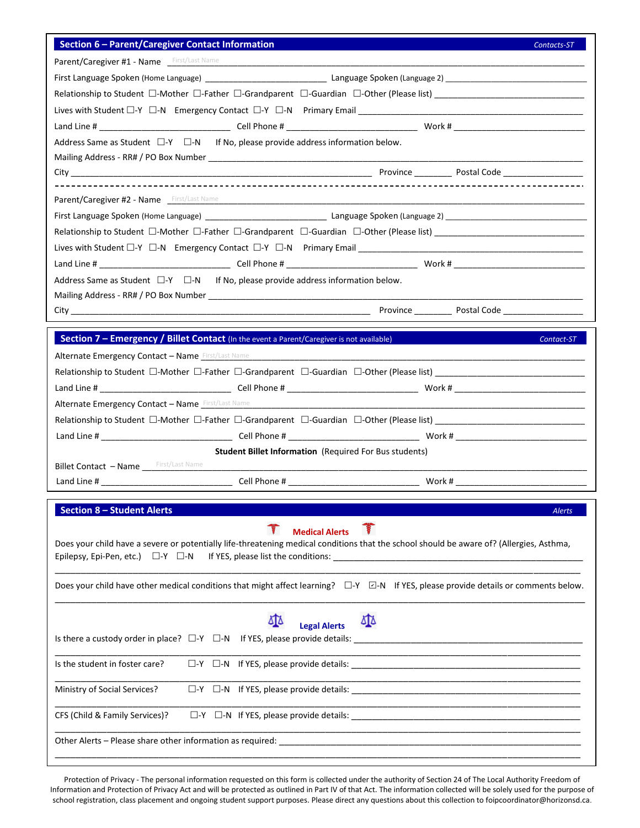| Section 6 - Parent/Caregiver Contact Information                                                                                                  | Contacts-ST   |
|---------------------------------------------------------------------------------------------------------------------------------------------------|---------------|
| Parent/Caregiver #1 - Name First/Last Name                                                                                                        |               |
|                                                                                                                                                   |               |
|                                                                                                                                                   |               |
|                                                                                                                                                   |               |
|                                                                                                                                                   |               |
| Address Same as Student $\Box$ -Y $\Box$ -N If No, please provide address information below.                                                      |               |
|                                                                                                                                                   |               |
|                                                                                                                                                   |               |
| Parent/Caregiver #2 - Name First/Last Name                                                                                                        |               |
|                                                                                                                                                   |               |
|                                                                                                                                                   |               |
|                                                                                                                                                   |               |
|                                                                                                                                                   |               |
| Address Same as Student $\Box$ -Y $\Box$ -N If No, please provide address information below.                                                      |               |
|                                                                                                                                                   |               |
|                                                                                                                                                   |               |
|                                                                                                                                                   |               |
| <b>Section 7 – Emergency / Billet Contact</b> (In the event a Parent/Caregiver is not available)                                                  | Contact-ST    |
| <b>Alternate Emergency Contact - Name First/Last Name</b>                                                                                         |               |
|                                                                                                                                                   |               |
|                                                                                                                                                   |               |
| <b>Alternate Emergency Contact - Name First/Last Name</b>                                                                                         |               |
| Relationship to Student □-Mother □-Father □-Grandparent □-Guardian □-Other (Please list) ___________________________                              |               |
|                                                                                                                                                   |               |
| <b>Student Billet Information (Required For Bus students)</b>                                                                                     |               |
|                                                                                                                                                   |               |
|                                                                                                                                                   |               |
| <b>Section 8 - Student Alerts</b>                                                                                                                 | <b>Alerts</b> |
| <b>R</b><br><b>Medical Alerts</b>                                                                                                                 |               |
| Does your child have a severe or potentially life-threatening medical conditions that the school should be aware of? (Allergies, Asthma,          |               |
| Epilepsy, Epi-Pen, etc.) $\Box$ -Y $\Box$ -N                                                                                                      |               |
| Does your child have other medical conditions that might affect learning? $\square Y \square Y$ If YES, please provide details or comments below. |               |
|                                                                                                                                                   |               |
|                                                                                                                                                   |               |
| ΔТΔ<br><b>Legal Alerts</b>                                                                                                                        |               |
|                                                                                                                                                   |               |
| Is the student in foster care?                                                                                                                    |               |
| Ministry of Social Services?                                                                                                                      |               |
| CFS (Child & Family Services)?                                                                                                                    |               |
|                                                                                                                                                   |               |
|                                                                                                                                                   |               |

Protection of Privacy - The personal information requested on this form is collected under the authority of Section 24 of The Local Authority Freedom of Information and Protection of Privacy Act and will be protected as outlined in Part IV of that Act. The information collected will be solely used for the purpose of school registration, class placement and ongoing student support purposes. Please direct any questions about this collection to foipcoordinator@horizonsd.ca.